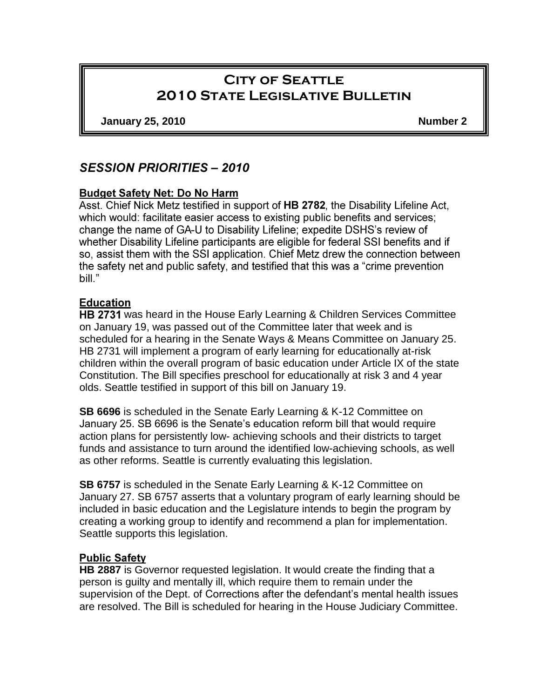# **City of Seattle 2010 State Legislative Bulletin**

**January 25, 2010 Number 2**

# **SESSION PRIORITIES - 2010**

# **Budget Safety Net: Do No Harm**

Asst. Chief Nick Metz testified in support of HB 2782, the Disability Lifeline Act, which would: facilitate easier access to existing public benefits and services; change the name of GA-U to Disability Lifeline; expedite DSHS's review of whether Disability Lifeline participants are eligible for federal SSI benefits and if so, assist them with the SSI application. Chief Metz drew the connection between the safety net and public safety, and testified that this was a "crime prevention" bill."

# **Education**

HB 2731 was heard in the House Early Learning & Children Services Committee on January 19, was passed out of the Committee later that week and is scheduled for a hearing in the Senate Ways & Means Committee on January 25. HB 2731 will implement a program of early learning for educationally at-risk children within the overall program of basic education under Article IX of the state Constitution. The Bill specifies preschool for educationally at risk 3 and 4 year olds. Seattle testified in support of this bill on January 19.

**SB 6696** is scheduled in the Senate Early Learning & K-12 Committee on January 25. SB 6696 is the Senate's education reform bill that would require action plans for persistently low- achieving schools and their districts to target funds and assistance to turn around the identified low-achieving schools, as well as other reforms. Seattle is currently evaluating this legislation.

**SB 6757** is scheduled in the Senate Early Learning & K-12 Committee on January 27. SB 6757 asserts that a voluntary program of early learning should be included in basic education and the Legislature intends to begin the program by creating a working group to identify and recommend a plan for implementation. Seattle supports this legislation.

# **Public Safety**

**HB 2887** is Governor requested legislation. It would create the finding that a person is guilty and mentally ill, which require them to remain under the supervision of the Dept. of Corrections after the defendant's mental health issues are resolved. The Bill is scheduled for hearing in the House Judiciary Committee.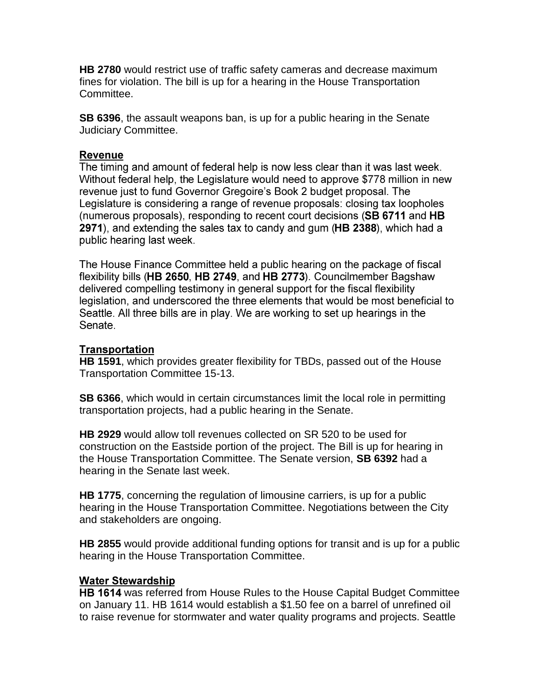**HB 2780** would restrict use of traffic safety cameras and decrease maximum fines for violation. The bill is up for a hearing in the House Transportation Committee.

**SB 6396**, the assault weapons ban, is up for a public hearing in the Senate Judiciary Committee.

### **Revenue**

The timing and amount of federal help is now less clear than it was last week. Without federal help, the Legislature would need to approve \$778 million in new revenue just to fund Governor Gregoire's Book 2 budget proposal. The Legislature is considering a range of revenue proposals: closing tax loopholes (numerous proposals), responding to recent court decisions (SB 6711 and HB 2971), and extending the sales tax to candy and gum (HB 2388), which had a public hearing last week.

The House Finance Committee held a public hearing on the package of fiscal flexibility bills (HB 2650, HB 2749, and HB 2773). Councilmember Bagshaw delivered compelling testimony in general support for the fiscal flexibility legislation, and underscored the three elements that would be most beneficial to Seattle. All three bills are in play. We are working to set up hearings in the Senate.

### **Transportation**

**HB 1591**, which provides greater flexibility for TBDs, passed out of the House Transportation Committee 15-13.

**SB 6366**, which would in certain circumstances limit the local role in permitting transportation projects, had a public hearing in the Senate.

**HB 2929** would allow toll revenues collected on SR 520 to be used for construction on the Eastside portion of the project. The Bill is up for hearing in the House Transportation Committee. The Senate version, **SB 6392** had a hearing in the Senate last week.

**HB 1775**, concerning the regulation of limousine carriers, is up for a public hearing in the House Transportation Committee. Negotiations between the City and stakeholders are ongoing.

**HB 2855** would provide additional funding options for transit and is up for a public hearing in the House Transportation Committee.

#### **Water Stewardship**

HB 1614 was referred from House Rules to the House Capital Budget Committee on January 11. HB 1614 would establish a \$1.50 fee on a barrel of unrefined oil to raise revenue for stormwater and water quality programs and projects. Seattle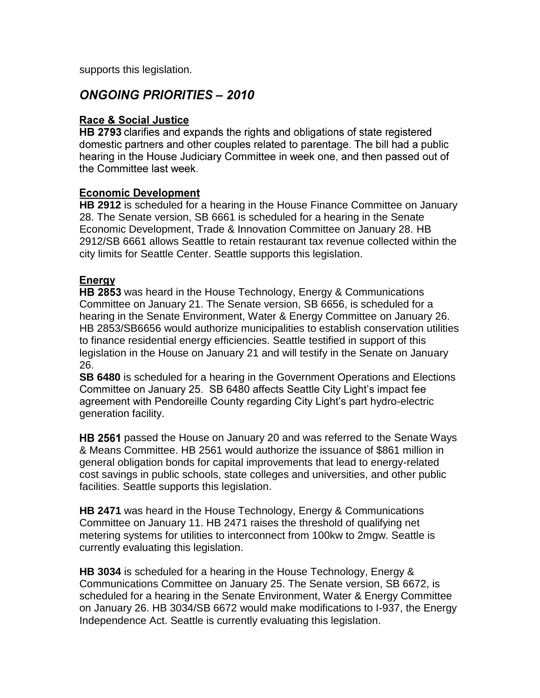supports this legislation.

# **ONGOING PRIORITIES - 2010**

### **Race & Social Justice**

HB 2793 clarifies and expands the rights and obligations of state registered domestic partners and other couples related to parentage. The bill had a public hearing in the House Judiciary Committee in week one, and then passed out of the Committee last week.

#### **Economic Development**

**HB 2912** is scheduled for a hearing in the House Finance Committee on January 28. The Senate version, SB 6661 is scheduled for a hearing in the Senate Economic Development, Trade & Innovation Committee on January 28. HB 2912/SB 6661 allows Seattle to retain restaurant tax revenue collected within the city limits for Seattle Center. Seattle supports this legislation.

### Energy

HB 2853 was heard in the House Technology, Energy & Communications Committee on January 21. The Senate version, SB 6656, is scheduled for a hearing in the Senate Environment, Water & Energy Committee on January 26. HB 2853/SB6656 would authorize municipalities to establish conservation utilities to finance residential energy efficiencies. Seattle testified in support of this legislation in the House on January 21 and will testify in the Senate on January 26.

**SB 6480** is scheduled for a hearing in the Government Operations and Elections Committee on January 25. SB 6480 affects Seattle City Light's impact fee agreement with Pendoreille County regarding City Light's part hydro-electric generation facility.

**HB 2561** passed the House on January 20 and was referred to the Senate Ways & Means Committee. HB 2561 would authorize the issuance of \$861 million in general obligation bonds for capital improvements that lead to energy-related cost savings in public schools, state colleges and universities, and other public facilities. Seattle supports this legislation.

**HB 2471** was heard in the House Technology, Energy & Communications Committee on January 11. HB 2471 raises the threshold of qualifying net metering systems for utilities to interconnect from 100kw to 2mgw. Seattle is currently evaluating this legislation.

**HB 3034** is scheduled for a hearing in the House Technology, Energy & Communications Committee on January 25. The Senate version, SB 6672, is scheduled for a hearing in the Senate Environment, Water & Energy Committee on January 26. HB 3034/SB 6672 would make modifications to I-937, the Energy Independence Act. Seattle is currently evaluating this legislation.